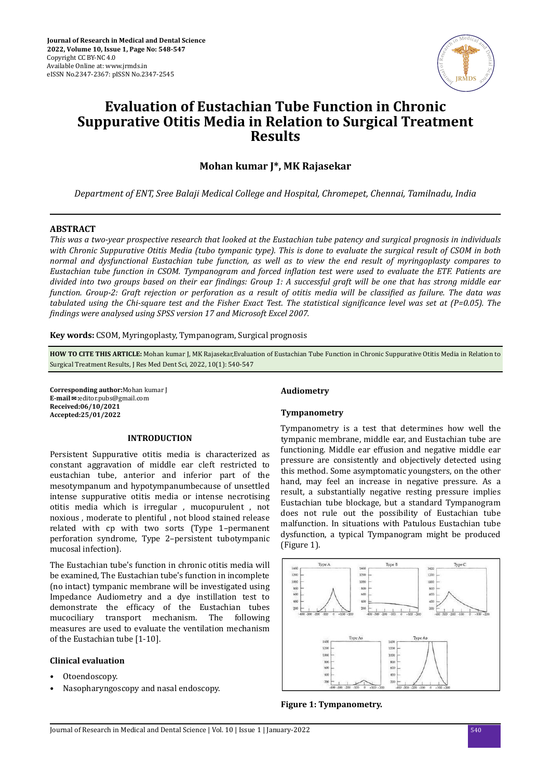

# **Evaluation of Eustachian Tube Function in Chronic Suppurative Otitis Media in Relation to Surgical Treatment Results**

## **Mohan kumar J\*, MK Rajasekar**

*Department of ENT, Sree Balaji Medical College and Hospital, Chromepet, Chennai, Tamilnadu, India*

## **ABSTRACT**

*This was a two-year prospective research that looked at the Eustachian tube patency and surgical prognosis in individuals with Chronic Suppurative Otitis Media (tubo tympanic type). This is done to evaluate the surgical result of CSOM in both normal and dysfunctional Eustachian tube function, as well as to view the end result of myringoplasty compares to Eustachian tube function in CSOM. Tympanogram and forced inflation test were used to evaluate the ETF. Patients are* divided into two groups based on their ear *findings*: Group 1: A successful graft will be one that has strong middle ear *function. Group-2: Graft rejection or perforation as a result of otitis media will be classified as failure. The data was tabulated using the Chi-square test and the Fisher Exact Test. The statistical significance level was set at (P=0.05). The findings were analysed using SPSS version 17 and Microsoft Excel 2007.* 

**Key words:** CSOM, Myringoplasty, Tympanogram, Surgical prognosis

**HOW TO CITE THIS ARTICLE:** Mohan kumar J, MK Rajasekar,Evaluation of Eustachian Tube Function in Chronic Suppurative Otitis Media in Relation to Surgical Treatment Results, J Res Med Dent Sci, 2022, 10(1): 540-547

**Corresponding author:**Mohan kumar J **E-mail**✉**:**editor.pubs@gmail.com **Received:06/10/2021 Accepted:25/01/2022**

#### **INTRODUCTION**

Persistent Suppurative otitis media is characterized as constant aggravation of middle ear cleft restricted to eustachian tube, anterior and inferior part of the mesotympanum and hypotympanumbecause of unsettled intense suppurative otitis media or intense necrotising otitis media which is irregular , mucopurulent , not noxious , moderate to plentiful , not blood stained release related with cp with two sorts (Type 1–permanent perforation syndrome, Type 2–persistent tubotympanic mucosal infection).

The Eustachian tube's function in chronic otitis media will be examined, The Eustachian tube's function in incomplete (no intact) tympanic membrane will be investigated using Impedance Audiometry and a dye instillation test to demonstrate the efficacy of the Eustachian tubes mucociliary transport mechanism. The following measures are used to evaluate the ventilation mechanism of the Eustachian tube [1-10].

## **Clinical evaluation**

- Otoendoscopy.
- Nasopharyngoscopy and nasal endoscopy.

## **Audiometry**

#### **Tympanometry**

Tympanometry is a test that determines how well the tympanic membrane, middle ear, and Eustachian tube are functioning. Middle ear effusion and negative middle ear pressure are consistently and objectively detected using this method. Some asymptomatic youngsters, on the other hand, may feel an increase in negative pressure. As a result, a substantially negative resting pressure implies Eustachian tube blockage, but a standard Tympanogram does not rule out the possibility of Eustachian tube malfunction. In situations with Patulous Eustachian tube dysfunction, a typical Tympanogram might be produced (Figure 1).



**Figure 1: Tympanometry.**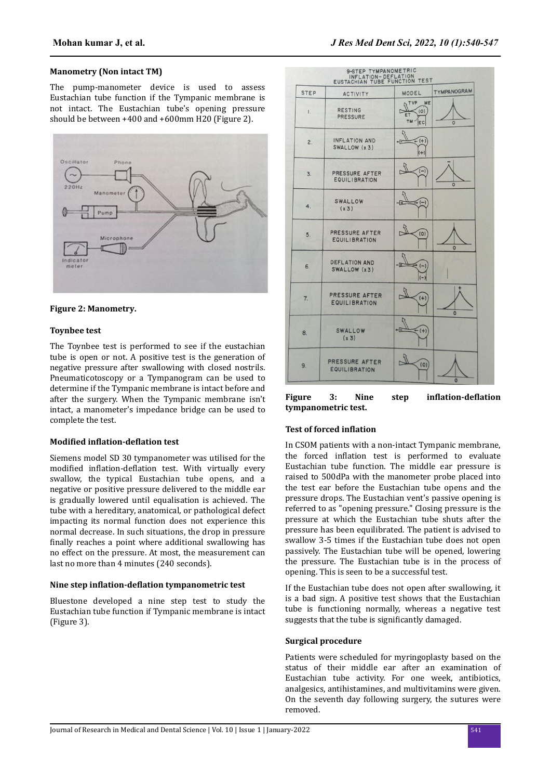## **Manometry (Non intact TM)**

The pump-manometer device is used to assess Eustachian tube function if the Tympanic membrane is not intact. The Eustachian tube's opening pressure should be between +400 and +600mm H20 (Figure 2).





## **Toynbee test**

The Toynbee test is performed to see if the eustachian tube is open or not. A positive test is the generation of negative pressure after swallowing with closed nostrils. Pneumaticotoscopy or a Tympanogram can be used to determine if the Tympanic membrane is intact before and after the surgery. When the Tympanic membrane isn't intact, a manometer's impedance bridge can be used to complete the test.

#### **Modified inflation-deflation test**

Siemens model SD 30 tympanometer was utilised for the modified inflation-deflation test. With virtually every swallow, the typical Eustachian tube opens, and a negative or positive pressure delivered to the middle ear is gradually lowered until equalisation is achieved. The tube with a hereditary, anatomical, or pathological defect impacting its normal function does not experience this normal decrease. In such situations, the drop in pressure finally reaches a point where additional swallowing has no effect on the pressure. At most, the measurement can last no more than 4 minutes (240 seconds).

## **Nine step inflation-deflation tympanometric test**

Bluestone developed a nine step test to study the Eustachian tube function if Tympanic membrane is intact (Figure 3).



**Figure** 3: Nine step **inflation-deflation tympanometric test.**

#### **Test of forced inflation**

In CSOM patients with a non-intact Tympanic membrane, the forced inflation test is performed to evaluate Eustachian tube function. The middle ear pressure is raised to 500dPa with the manometer probe placed into the test ear before the Eustachian tube opens and the pressure drops. The Eustachian vent's passive opening is referred to as "opening pressure." Closing pressure is the pressure at which the Eustachian tube shuts after the pressure has been equilibrated. The patient is advised to swallow 3-5 times if the Eustachian tube does not open passively. The Eustachian tube will be opened, lowering the pressure. The Eustachian tube is in the process of opening. This is seen to be a successful test.

If the Eustachian tube does not open after swallowing, it is a bad sign. A positive test shows that the Eustachian tube is functioning normally, whereas a negative test suggests that the tube is significantly damaged.

#### **Surgical procedure**

Patients were scheduled for myringoplasty based on the status of their middle ear after an examination of Eustachian tube activity. For one week, antibiotics, analgesics, antihistamines, and multivitamins were given. On the seventh day following surgery, the sutures were removed.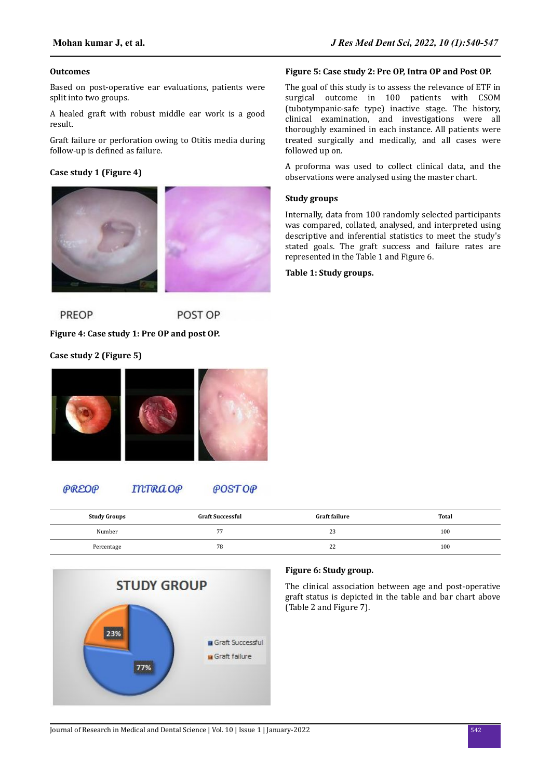## **Outcomes**

Based on post-operative ear evaluations, patients were split into two groups.

A healed graft with robust middle ear work is a good result.

Graft failure or perforation owing to Otitis media during follow-up is defined as failure.

## **Case study 1 (Figure 4)**



**PREOP** POST OP

## **Figure 4: Case study 1: Pre OP and post OP.**

**Case study 2 (Figure 5)**



#### PREOP **INTRA OP POSTOP**

| <b>Study Groups</b> | <b>Graft Successful</b> | <b>Graft failure</b> | Total |
|---------------------|-------------------------|----------------------|-------|
| Number              | --                      | $\sim$<br>ل ک        | 100   |
| Percentage          | 78                      | $\sim$<br>∠∠         | 100   |



## **Figure 5: Case study 2: Pre OP, Intra OP and Post OP.**

The goal of this study is to assess the relevance of ETF in surgical outcome in 100 patients with CSOM (tubotympanic-safe type) inactive stage. The history, clinical examination, and investigations were all thoroughly examined in each instance. All patients were treated surgically and medically, and all cases were followed up on.

A proforma was used to collect clinical data, and the observations were analysed using the master chart.

## **Study groups**

Internally, data from 100 randomly selected participants was compared, collated, analysed, and interpreted using descriptive and inferential statistics to meet the study's stated goals. The graft success and failure rates are represented in the Table 1 and Figure 6.

## **Table 1: Study groups.**

**Figure 6: Study group.**

The clinical association between age and post-operative graft status is depicted in the table and bar chart above (Table 2 and Figure 7).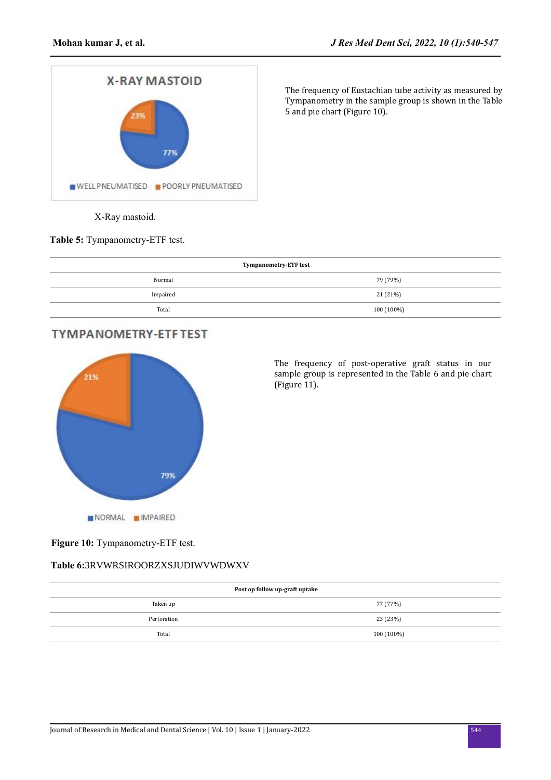

The frequency of Eustachian tube activity as measured by Tympanometry in the sample group is shown in the Table 5 and pie chart (Figure 10).

**Figure 9:** X-Ray mastoid.

**Table 5:** Tympanometry-ETF test.

| <b>Tympanometry-ETF test</b> |            |  |  |
|------------------------------|------------|--|--|
| Normal                       | 79 (79%)   |  |  |
| Impaired                     | 21 (21%)   |  |  |
| Total                        | 100 (100%) |  |  |

## **TYMPANOMETRY-ETF TEST**



The frequency of post-operative graft status in our sample group is represented in the Table 6 and pie chart (Figure 11).

## Figure 10: Tympanometry-ETF test.

## **Table 6:**  $\begin{array}{ccc} \n\mathbf{I} & \mathbf{a} & \mathbf{a} \\
\mathbf{I} & \mathbf{a} & \mathbf{a}\n\end{array}$

| Post op follow up-graft uptake |            |  |  |  |
|--------------------------------|------------|--|--|--|
| Taken up                       | 77 (77%)   |  |  |  |
| Perforation                    | 23 (23%)   |  |  |  |
| Total                          | 100 (100%) |  |  |  |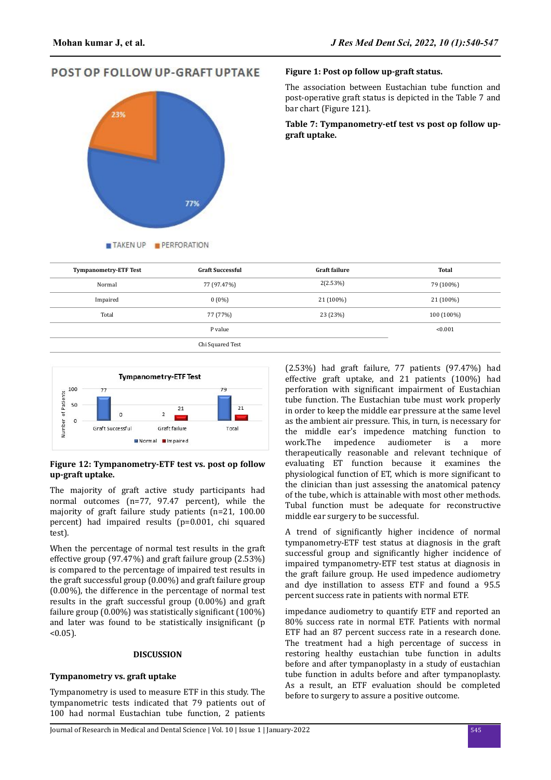**POST OP FOLLOW UP-GRAFT UPTAKE** 



## **Figure 1: Post op follow up-graft status.**

The association between Eustachian tube function and post-operative graft status is depicted in the Table 7 and bar chart (Figure 121).

**Table 7: Tympanometry-etf test vs post op follow upgraft uptake.**

| <b>Tympanometry-ETF Test</b> | <b>Graft Successful</b> | <b>Graft failure</b> | <b>Total</b> |
|------------------------------|-------------------------|----------------------|--------------|
| Normal                       | 77 (97.47%)             | 2(2.53%)             | 79 (100%)    |
| Impaired                     | $0(0\%)$                | 21 (100%)            | 21 (100%)    |
| Total                        | 77 (77%)                | 23 (23%)             | 100 (100%)   |
|                              | P value                 |                      | < 0.001      |
|                              | Chi Squared Test        |                      |              |



## **Figure 12: Tympanometry-ETF test vs. post op follow up-graft uptake.**

The majority of graft active study participants had normal outcomes (n=77, 97.47 percent), while the majority of graft failure study patients (n=21, 100.00 percent) had impaired results (p=0.001, chi squared test).

When the percentage of normal test results in the graft effective group (97.47%) and graft failure group (2.53%) is compared to the percentage of impaired test results in the graft successful group (0.00%) and graft failure group (0.00%), the difference in the percentage of normal test results in the graft successful group (0.00%) and graft failure group  $(0.00\%)$  was statistically significant  $(100\%)$ and later was found to be statistically insignificant (p  $< 0.05$ ).

## **DISCUSSION**

## **Tympanometry vs. graft uptake**

Tympanometry is used to measure ETF in this study. The tympanometric tests indicated that 79 patients out of 100 had normal Eustachian tube function, 2 patients

(2.53%) had graft failure, 77 patients (97.47%) had effective graft uptake, and 21 patients (100%) had perforation with significant impairment of Eustachian tube function. The Eustachian tube must work properly in order to keep the middle ear pressure at the same level as the ambient air pressure. This, in turn, is necessary for the middle ear's impedence matching function to work.The impedence audiometer is a more therapeutically reasonable and relevant technique of evaluating ET function because it examines the physiological function of ET, which is more significant to the clinician than just assessing the anatomical patency of the tube, which is attainable with most other methods. Tubal function must be adequate for reconstructive middle ear surgery to be successful.

A trend of significantly higher incidence of normal tympanometry-ETF test status at diagnosis in the graft successful group and significantly higher incidence of impaired tympanometry-ETF test status at diagnosis in the graft failure group. He used impedence audiometry and dye instillation to assess ETF and found a 95.5 percent success rate in patients with normal ETF.

impedance audiometry to quantify ETF and reported an 80% success rate in normal ETF. Patients with normal ETF had an 87 percent success rate in a research done. The treatment had a high percentage of success in restoring healthy eustachian tube function in adults before and after tympanoplasty in a study of eustachian tube function in adults before and after tympanoplasty. As a result, an ETF evaluation should be completed before to surgery to assure a positive outcome.